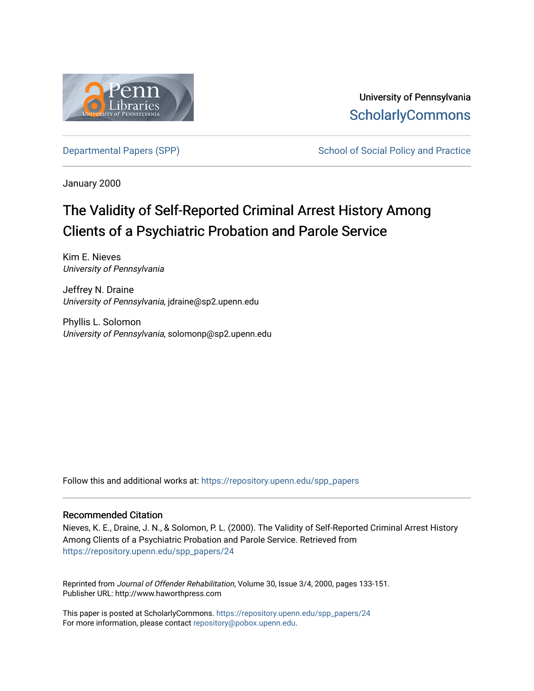

University of Pennsylvania **ScholarlyCommons** 

[Departmental Papers \(SPP\)](https://repository.upenn.edu/spp_papers) School of Social Policy and Practice

January 2000

# The Validity of Self-Reported Criminal Arrest History Among Clients of a Psychiatric Probation and Parole Service

Kim E. Nieves University of Pennsylvania

Jeffrey N. Draine University of Pennsylvania, jdraine@sp2.upenn.edu

Phyllis L. Solomon University of Pennsylvania, solomonp@sp2.upenn.edu

Follow this and additional works at: [https://repository.upenn.edu/spp\\_papers](https://repository.upenn.edu/spp_papers?utm_source=repository.upenn.edu%2Fspp_papers%2F24&utm_medium=PDF&utm_campaign=PDFCoverPages) 

### Recommended Citation

Nieves, K. E., Draine, J. N., & Solomon, P. L. (2000). The Validity of Self-Reported Criminal Arrest History Among Clients of a Psychiatric Probation and Parole Service. Retrieved from [https://repository.upenn.edu/spp\\_papers/24](https://repository.upenn.edu/spp_papers/24?utm_source=repository.upenn.edu%2Fspp_papers%2F24&utm_medium=PDF&utm_campaign=PDFCoverPages)

Reprinted from Journal of Offender Rehabilitation, Volume 30, Issue 3/4, 2000, pages 133-151. Publisher URL: http://www.haworthpress.com

This paper is posted at ScholarlyCommons. [https://repository.upenn.edu/spp\\_papers/24](https://repository.upenn.edu/spp_papers/24)  For more information, please contact [repository@pobox.upenn.edu.](mailto:repository@pobox.upenn.edu)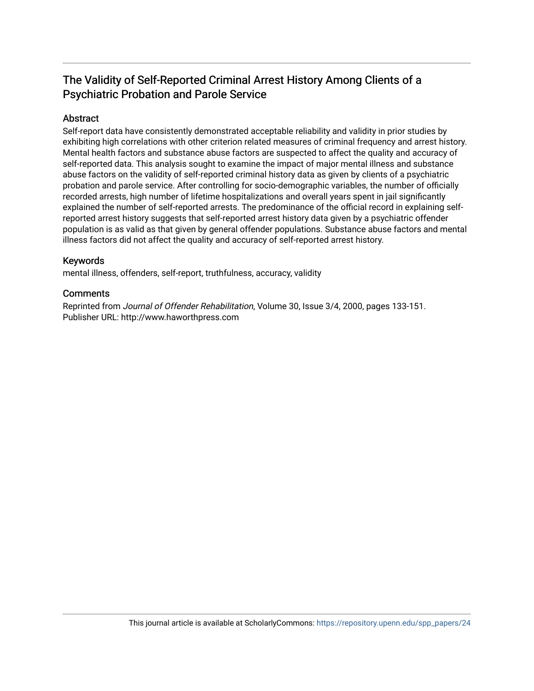## The Validity of Self-Reported Criminal Arrest History Among Clients of a Psychiatric Probation and Parole Service

## Abstract

Self-report data have consistently demonstrated acceptable reliability and validity in prior studies by exhibiting high correlations with other criterion related measures of criminal frequency and arrest history. Mental health factors and substance abuse factors are suspected to affect the quality and accuracy of self-reported data. This analysis sought to examine the impact of major mental illness and substance abuse factors on the validity of self-reported criminal history data as given by clients of a psychiatric probation and parole service. After controlling for socio-demographic variables, the number of officially recorded arrests, high number of lifetime hospitalizations and overall years spent in jail significantly explained the number of self-reported arrests. The predominance of the official record in explaining selfreported arrest history suggests that self-reported arrest history data given by a psychiatric offender population is as valid as that given by general offender populations. Substance abuse factors and mental illness factors did not affect the quality and accuracy of self-reported arrest history.

## Keywords

mental illness, offenders, self-report, truthfulness, accuracy, validity

## **Comments**

Reprinted from Journal of Offender Rehabilitation, Volume 30, Issue 3/4, 2000, pages 133-151. Publisher URL: http://www.haworthpress.com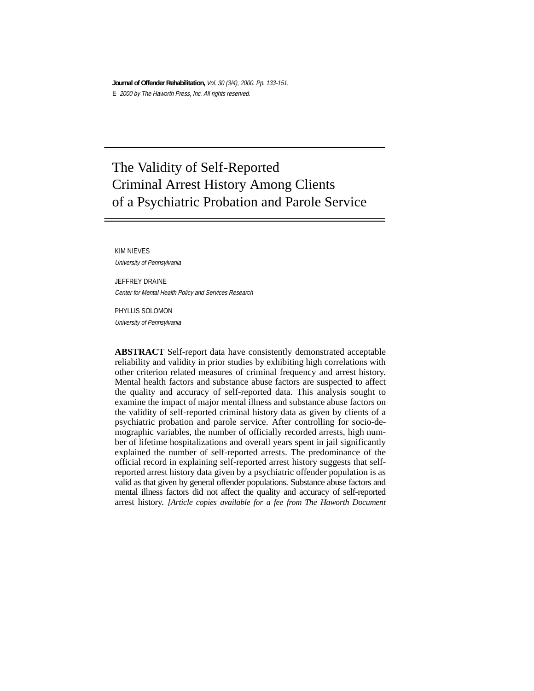**Journal of Offender Rehabilitation,** Vol. 30 (3/4), 2000. Pp. 133-151. E 2000 by The Haworth Press, Inc. All rights reserved.

## The Validity of Self-Reported Criminal Arrest History Among Clients of a Psychiatric Probation and Parole Service

KIM NIEVES University of Pennsylvania

JEFFREY DRAINE Center for Mental Health Policy and Services Research

PHYLLIS SOLOMON University of Pennsylvania

**ABSTRACT** Self-report data have consistently demonstrated acceptable reliability and validity in prior studies by exhibiting high correlations with other criterion related measures of criminal frequency and arrest history. Mental health factors and substance abuse factors are suspected to affect the quality and accuracy of self-reported data. This analysis sought to examine the impact of major mental illness and substance abuse factors on the validity of self-reported criminal history data as given by clients of a psychiatric probation and parole service. After controlling for socio-demographic variables, the number of officially recorded arrests, high number of lifetime hospitalizations and overall years spent in jail significantly explained the number of self-reported arrests. The predominance of the official record in explaining self-reported arrest history suggests that selfreported arrest history data given by a psychiatric offender population is as valid as that given by general offender populations. Substance abuse factors and mental illness factors did not affect the quality and accuracy of self-reported arrest history. *[Article copies available for a fee from The Haworth Document*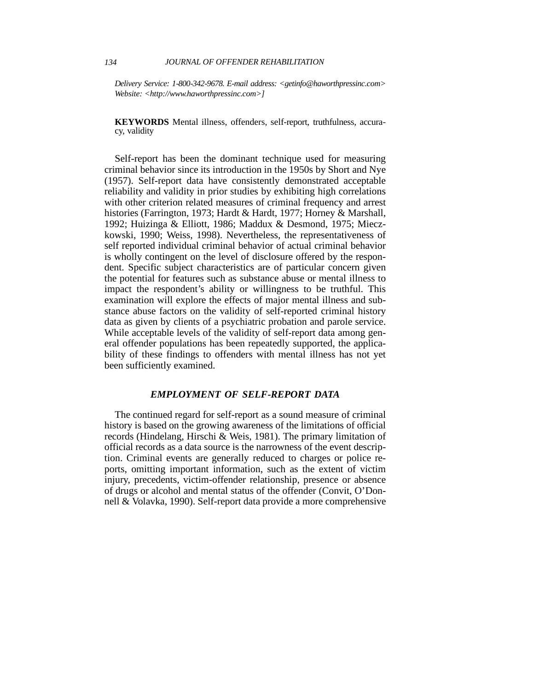#### *134 JOURNAL OF OFFENDER REHABILITATION*

*Delivery Service: 1-800-342-9678. E-mail address: <getinfo@haworthpressinc.com> Website: <http://www.haworthpressinc.com>]*

**KEYWORDS** Mental illness, offenders, self-report, truthfulness, accuracy, validity

Self-report has been the dominant technique used for measuring criminal behavior since its introduction in the 1950s by Short and Nye (1957). Self-report data have consistently demonstrated acceptable reliability and validity in prior studies by exhibiting high correlations with other criterion related measures of criminal frequency and arrest histories (Farrington, 1973; Hardt & Hardt, 1977; Horney & Marshall, 1992; Huizinga & Elliott, 1986; Maddux & Desmond, 1975; Mieczkowski, 1990; Weiss, 1998). Nevertheless, the representativeness of self reported individual criminal behavior of actual criminal behavior is wholly contingent on the level of disclosure offered by the respondent. Specific subject characteristics are of particular concern given the potential for features such as substance abuse or mental illness to impact the respondent's ability or willingness to be truthful. This examination will explore the effects of major mental illness and substance abuse factors on the validity of self-reported criminal history data as given by clients of a psychiatric probation and parole service. While acceptable levels of the validity of self-report data among general offender populations has been repeatedly supported, the applicability of these findings to offenders with mental illness has not yet been sufficiently examined.

#### *EMPLOYMENT OF SELF-REPORT DATA*

The continued regard for self-report as a sound measure of criminal history is based on the growing awareness of the limitations of official records (Hindelang, Hirschi & Weis, 1981). The primary limitation of official records as a data source is the narrowness of the event description. Criminal events are generally reduced to charges or police reports, omitting important information, such as the extent of victim injury, precedents, victim-offender relationship, presence or absence of drugs or alcohol and mental status of the offender (Convit, O'Donnell & Volavka, 1990). Self-report data provide a more comprehensive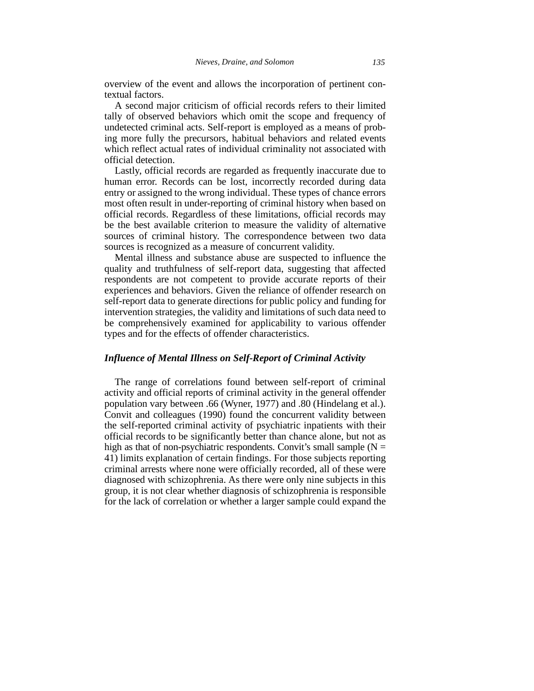overview of the event and allows the incorporation of pertinent contextual factors.

A second major criticism of official records refers to their limited tally of observed behaviors which omit the scope and frequency of undetected criminal acts. Self-report is employed as a means of probing more fully the precursors, habitual behaviors and related events which reflect actual rates of individual criminality not associated with official detection.

Lastly, official records are regarded as frequently inaccurate due to human error. Records can be lost, incorrectly recorded during data entry or assigned to the wrong individual. These types of chance errors most often result in under-reporting of criminal history when based on official records. Regardless of these limitations, official records may be the best available criterion to measure the validity of alternative sources of criminal history. The correspondence between two data sources is recognized as a measure of concurrent validity.

Mental illness and substance abuse are suspected to influence the quality and truthfulness of self-report data, suggesting that affected respondents are not competent to provide accurate reports of their experiences and behaviors. Given the reliance of offender research on self-report data to generate directions for public policy and funding for intervention strategies, the validity and limitations of such data need to be comprehensively examined for applicability to various offender types and for the effects of offender characteristics.

#### *Influence of Mental Illness on Self-Report of Criminal Activity*

The range of correlations found between self-report of criminal activity and official reports of criminal activity in the general offender population vary between .66 (Wyner, 1977) and .80 (Hindelang et al.). Convit and colleagues (1990) found the concurrent validity between the self-reported criminal activity of psychiatric inpatients with their official records to be significantly better than chance alone, but not as high as that of non-psychiatric respondents. Convit's small sample  $(N =$ 41) limits explanation of certain findings. For those subjects reporting criminal arrests where none were officially recorded, all of these were diagnosed with schizophrenia. As there were only nine subjects in this group, it is not clear whether diagnosis of schizophrenia is responsible for the lack of correlation or whether a larger sample could expand the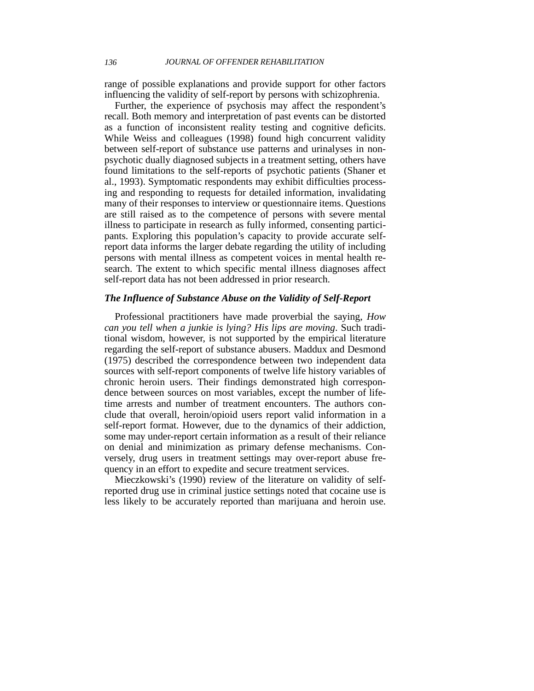range of possible explanations and provide support for other factors influencing the validity of self-report by persons with schizophrenia.

Further, the experience of psychosis may affect the respondent's recall. Both memory and interpretation of past events can be distorted as a function of inconsistent reality testing and cognitive deficits. While Weiss and colleagues (1998) found high concurrent validity between self-report of substance use patterns and urinalyses in nonpsychotic dually diagnosed subjects in a treatment setting, others have found limitations to the self-reports of psychotic patients (Shaner et al., 1993). Symptomatic respondents may exhibit difficulties processing and responding to requests for detailed information, invalidating many of their responses to interview or questionnaire items. Questions are still raised as to the competence of persons with severe mental illness to participate in research as fully informed, consenting participants. Exploring this population's capacity to provide accurate selfreport data informs the larger debate regarding the utility of including persons with mental illness as competent voices in mental health research. The extent to which specific mental illness diagnoses affect self-report data has not been addressed in prior research.

#### *The Influence of Substance Abuse on the Validity of Self-Report*

Professional practitioners have made proverbial the saying, *How can you tell when a junkie is lying? His lips are moving*. Such traditional wisdom, however, is not supported by the empirical literature regarding the self-report of substance abusers. Maddux and Desmond (1975) described the correspondence between two independent data sources with self-report components of twelve life history variables of chronic heroin users. Their findings demonstrated high correspondence between sources on most variables, except the number of lifetime arrests and number of treatment encounters. The authors conclude that overall, heroin/opioid users report valid information in a self-report format. However, due to the dynamics of their addiction, some may under-report certain information as a result of their reliance on denial and minimization as primary defense mechanisms. Conversely, drug users in treatment settings may over-report abuse frequency in an effort to expedite and secure treatment services.

Mieczkowski's (1990) review of the literature on validity of selfreported drug use in criminal justice settings noted that cocaine use is less likely to be accurately reported than marijuana and heroin use.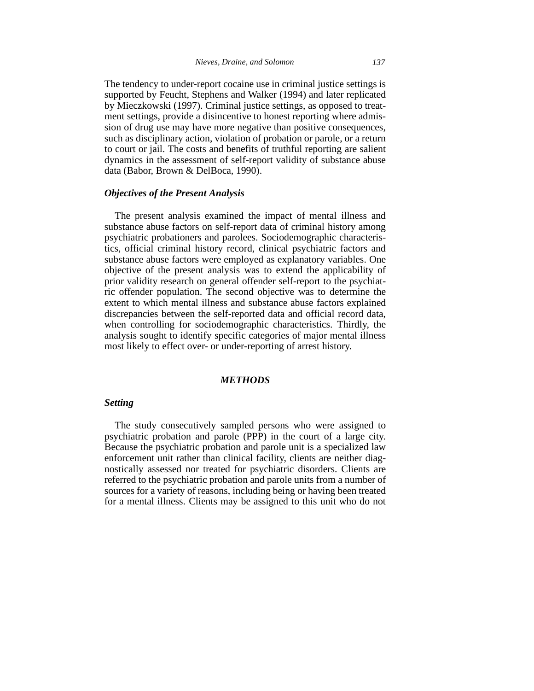The tendency to under-report cocaine use in criminal justice settings is supported by Feucht, Stephens and Walker (1994) and later replicated by Mieczkowski (1997). Criminal justice settings, as opposed to treatment settings, provide a disincentive to honest reporting where admission of drug use may have more negative than positive consequences, such as disciplinary action, violation of probation or parole, or a return to court or jail. The costs and benefits of truthful reporting are salient dynamics in the assessment of self-report validity of substance abuse data (Babor, Brown & DelBoca, 1990).

#### *Objectives of the Present Analysis*

The present analysis examined the impact of mental illness and substance abuse factors on self-report data of criminal history among psychiatric probationers and parolees. Sociodemographic characteristics, official criminal history record, clinical psychiatric factors and substance abuse factors were employed as explanatory variables. One objective of the present analysis was to extend the applicability of prior validity research on general offender self-report to the psychiatric offender population. The second objective was to determine the extent to which mental illness and substance abuse factors explained discrepancies between the self-reported data and official record data, when controlling for sociodemographic characteristics. Thirdly, the analysis sought to identify specific categories of major mental illness most likely to effect over- or under-reporting of arrest history.

#### *METHODS*

#### *Setting*

The study consecutively sampled persons who were assigned to psychiatric probation and parole (PPP) in the court of a large city. Because the psychiatric probation and parole unit is a specialized law enforcement unit rather than clinical facility, clients are neither diagnostically assessed nor treated for psychiatric disorders. Clients are referred to the psychiatric probation and parole units from a number of sources for a variety of reasons, including being or having been treated for a mental illness. Clients may be assigned to this unit who do not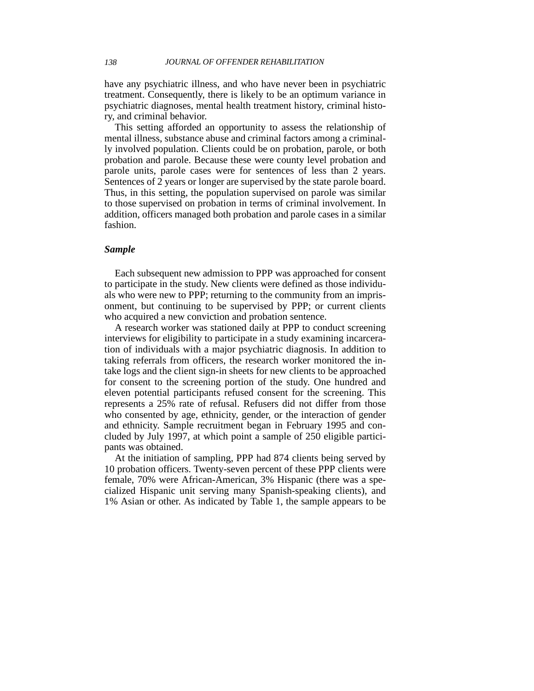have any psychiatric illness, and who have never been in psychiatric treatment. Consequently, there is likely to be an optimum variance in psychiatric diagnoses, mental health treatment history, criminal history, and criminal behavior.

This setting afforded an opportunity to assess the relationship of mental illness, substance abuse and criminal factors among a criminally involved population. Clients could be on probation, parole, or both probation and parole. Because these were county level probation and parole units, parole cases were for sentences of less than 2 years. Sentences of 2 years or longer are supervised by the state parole board. Thus, in this setting, the population supervised on parole was similar to those supervised on probation in terms of criminal involvement. In addition, officers managed both probation and parole cases in a similar fashion.

### *Sample*

Each subsequent new admission to PPP was approached for consent to participate in the study. New clients were defined as those individuals who were new to PPP; returning to the community from an imprisonment, but continuing to be supervised by PPP; or current clients who acquired a new conviction and probation sentence.

A research worker was stationed daily at PPP to conduct screening interviews for eligibility to participate in a study examining incarceration of individuals with a major psychiatric diagnosis. In addition to taking referrals from officers, the research worker monitored the intake logs and the client sign-in sheets for new clients to be approached for consent to the screening portion of the study. One hundred and eleven potential participants refused consent for the screening. This represents a 25% rate of refusal. Refusers did not differ from those who consented by age, ethnicity, gender, or the interaction of gender and ethnicity. Sample recruitment began in February 1995 and concluded by July 1997, at which point a sample of 250 eligible participants was obtained.

At the initiation of sampling, PPP had 874 clients being served by 10 probation officers. Twenty-seven percent of these PPP clients were female, 70% were African-American, 3% Hispanic (there was a specialized Hispanic unit serving many Spanish-speaking clients), and 1% Asian or other. As indicated by Table 1, the sample appears to be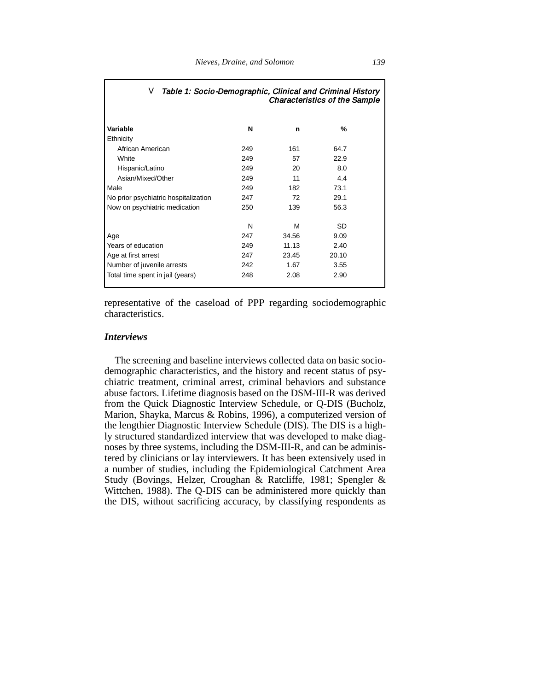| v                                    | Table 1: Socio-Demographic, Clinical and Criminal History<br><b>Characteristics of the Sample</b> |       |           |  |
|--------------------------------------|---------------------------------------------------------------------------------------------------|-------|-----------|--|
| Variable                             | N                                                                                                 | n     | %         |  |
| Ethnicity                            |                                                                                                   |       |           |  |
| African American                     | 249                                                                                               | 161   | 64.7      |  |
| White                                | 249                                                                                               | 57    | 22.9      |  |
| Hispanic/Latino                      | 249                                                                                               | 20    | 8.0       |  |
| Asian/Mixed/Other                    | 249                                                                                               | 11    | 4.4       |  |
| Male                                 | 249                                                                                               | 182   | 73.1      |  |
| No prior psychiatric hospitalization | 247                                                                                               | 72    | 29.1      |  |
| Now on psychiatric medication        | 250                                                                                               | 139   | 56.3      |  |
|                                      | N                                                                                                 | м     | <b>SD</b> |  |
| Age                                  | 247                                                                                               | 34.56 | 9.09      |  |
| Years of education                   | 249                                                                                               | 11.13 | 2.40      |  |
| Age at first arrest                  | 247                                                                                               | 23.45 | 20.10     |  |
| Number of juvenile arrests           | 242                                                                                               | 1.67  | 3.55      |  |
| Total time spent in jail (years)     | 248                                                                                               | 2.08  | 2.90      |  |

representative of the caseload of PPP regarding sociodemographic characteristics.

#### *Interviews*

The screening and baseline interviews collected data on basic sociodemographic characteristics, and the history and recent status of psychiatric treatment, criminal arrest, criminal behaviors and substance abuse factors. Lifetime diagnosis based on the DSM-III-R was derived from the Quick Diagnostic Interview Schedule, or Q-DIS (Bucholz, Marion, Shayka, Marcus & Robins, 1996), a computerized version of the lengthier Diagnostic Interview Schedule (DIS). The DIS is a highly structured standardized interview that was developed to make diagnoses by three systems, including the DSM-III-R, and can be administered by clinicians or lay interviewers. It has been extensively used in a number of studies, including the Epidemiological Catchment Area Study (Bovings, Helzer, Croughan & Ratcliffe, 1981; Spengler & Wittchen, 1988). The Q-DIS can be administered more quickly than the DIS, without sacrificing accuracy, by classifying respondents as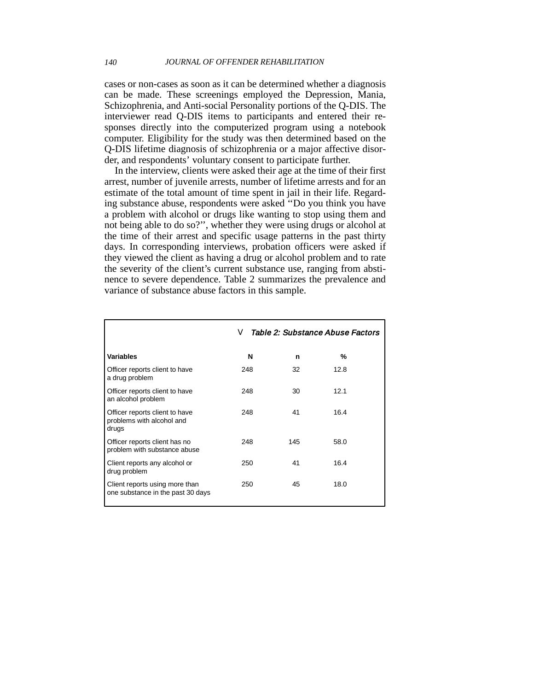#### *140 JOURNAL OF OFFENDER REHABILITATION*

cases or non-cases as soon as it can be determined whether a diagnosis can be made. These screenings employed the Depression, Mania, Schizophrenia, and Anti-social Personality portions of the Q-DIS. The interviewer read Q-DIS items to participants and entered their responses directly into the computerized program using a notebook computer. Eligibility for the study was then determined based on the Q-DIS lifetime diagnosis of schizophrenia or a major affective disorder, and respondents' voluntary consent to participate further.

In the interview, clients were asked their age at the time of their first arrest, number of juvenile arrests, number of lifetime arrests and for an estimate of the total amount of time spent in jail in their life. Regarding substance abuse, respondents were asked ''Do you think you have a problem with alcohol or drugs like wanting to stop using them and not being able to do so?'', whether they were using drugs or alcohol at the time of their arrest and specific usage patterns in the past thirty days. In corresponding interviews, probation officers were asked if they viewed the client as having a drug or alcohol problem and to rate the severity of the client's current substance use, ranging from abstinence to severe dependence. Table 2 summarizes the prevalence and variance of substance abuse factors in this sample.

|                                                                      | Table 2: Substance Abuse Factors<br>v |     |      |  |
|----------------------------------------------------------------------|---------------------------------------|-----|------|--|
| <b>Variables</b>                                                     | N                                     | n   | %    |  |
| Officer reports client to have<br>a drug problem                     | 248                                   | 32  | 12.8 |  |
| Officer reports client to have<br>an alcohol problem                 | 248                                   | 30  | 12.1 |  |
| Officer reports client to have<br>problems with alcohol and<br>drugs | 248                                   | 41  | 16.4 |  |
| Officer reports client has no<br>problem with substance abuse        | 248                                   | 145 | 58.0 |  |
| Client reports any alcohol or<br>drug problem                        | 250                                   | 41  | 16.4 |  |
| Client reports using more than<br>one substance in the past 30 days  | 250                                   | 45  | 18.0 |  |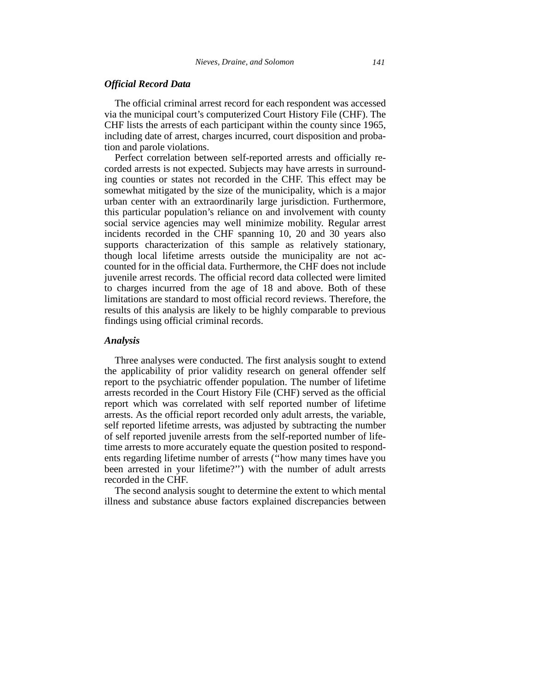#### *Official Record Data*

The official criminal arrest record for each respondent was accessed via the municipal court's computerized Court History File (CHF). The CHF lists the arrests of each participant within the county since 1965, including date of arrest, charges incurred, court disposition and probation and parole violations.

Perfect correlation between self-reported arrests and officially recorded arrests is not expected. Subjects may have arrests in surrounding counties or states not recorded in the CHF. This effect may be somewhat mitigated by the size of the municipality, which is a major urban center with an extraordinarily large jurisdiction. Furthermore, this particular population's reliance on and involvement with county social service agencies may well minimize mobility. Regular arrest incidents recorded in the CHF spanning 10, 20 and 30 years also supports characterization of this sample as relatively stationary, though local lifetime arrests outside the municipality are not accounted for in the official data. Furthermore, the CHF does not include juvenile arrest records. The official record data collected were limited to charges incurred from the age of 18 and above. Both of these limitations are standard to most official record reviews. Therefore, the results of this analysis are likely to be highly comparable to previous findings using official criminal records.

#### *Analysis*

Three analyses were conducted. The first analysis sought to extend the applicability of prior validity research on general offender self report to the psychiatric offender population. The number of lifetime arrests recorded in the Court History File (CHF) served as the official report which was correlated with self reported number of lifetime arrests. As the official report recorded only adult arrests, the variable, self reported lifetime arrests, was adjusted by subtracting the number of self reported juvenile arrests from the self-reported number of lifetime arrests to more accurately equate the question posited to respondents regarding lifetime number of arrests (''how many times have you been arrested in your lifetime?'') with the number of adult arrests recorded in the CHF.

The second analysis sought to determine the extent to which mental illness and substance abuse factors explained discrepancies between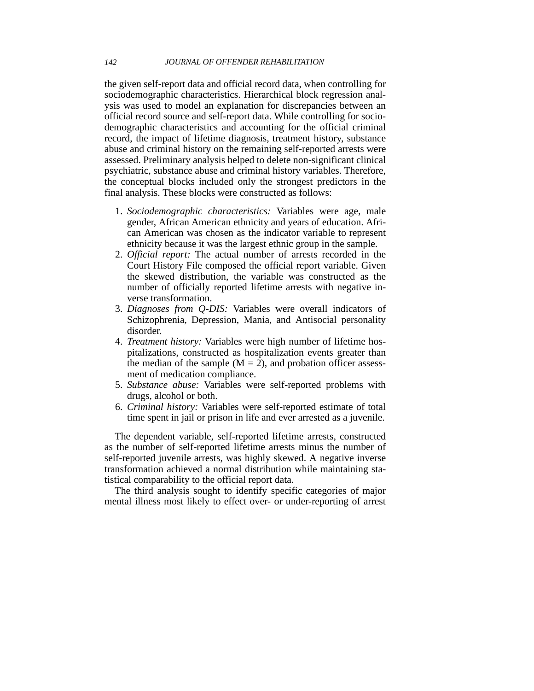the given self-report data and official record data, when controlling for sociodemographic characteristics. Hierarchical block regression analysis was used to model an explanation for discrepancies between an official record source and self-report data. While controlling for sociodemographic characteristics and accounting for the official criminal record, the impact of lifetime diagnosis, treatment history, substance abuse and criminal history on the remaining self-reported arrests were assessed. Preliminary analysis helped to delete non-significant clinical psychiatric, substance abuse and criminal history variables. Therefore, the conceptual blocks included only the strongest predictors in the final analysis. These blocks were constructed as follows:

- 1. *Sociodemographic characteristics:* Variables were age, male gender, African American ethnicity and years of education. African American was chosen as the indicator variable to represent ethnicity because it was the largest ethnic group in the sample.
- 2. *Official report:* The actual number of arrests recorded in the Court History File composed the official report variable. Given the skewed distribution, the variable was constructed as the number of officially reported lifetime arrests with negative inverse transformation.
- 3. *Diagnoses from Q-DIS:* Variables were overall indicators of Schizophrenia, Depression, Mania, and Antisocial personality disorder.
- 4. *Treatment history:* Variables were high number of lifetime hospitalizations, constructed as hospitalization events greater than the median of the sample  $(M = 2)$ , and probation officer assessment of medication compliance.
- 5. *Substance abuse:* Variables were self-reported problems with drugs, alcohol or both.
- 6. *Criminal history:* Variables were self-reported estimate of total time spent in jail or prison in life and ever arrested as a juvenile.

The dependent variable, self-reported lifetime arrests, constructed as the number of self-reported lifetime arrests minus the number of self-reported juvenile arrests, was highly skewed. A negative inverse transformation achieved a normal distribution while maintaining statistical comparability to the official report data.

The third analysis sought to identify specific categories of major mental illness most likely to effect over- or under-reporting of arrest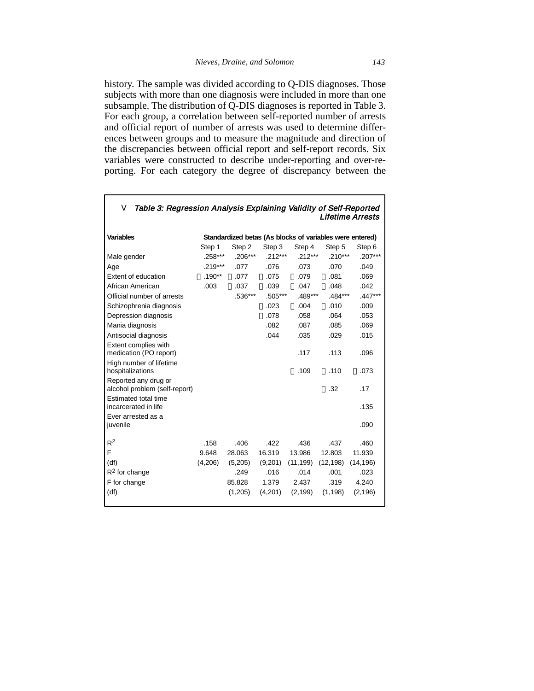history. The sample was divided according to Q-DIS diagnoses. Those subjects with more than one diagnosis were included in more than one subsample. The distribution of Q-DIS diagnoses is reported in Table 3. For each group, a correlation between self-reported number of arrests and official report of number of arrests was used to determine differences between groups and to measure the magnitude and direction of the discrepancies between official report and self-report records. Six variables were constructed to describe under-reporting and over-reporting. For each category the degree of discrepancy between the

| <b>Variables</b>                                                              |              |             |             | Standardized betas (As blocks of variables were entered) |             |             |
|-------------------------------------------------------------------------------|--------------|-------------|-------------|----------------------------------------------------------|-------------|-------------|
|                                                                               | Step 1       | Step 2      | Step 3      | Step 4                                                   | Step 5      | Step 6      |
| Male gender                                                                   | .258***      | $.206***$   | $.212***$   | $.212***$                                                | $.210***$   | $.207***$   |
| Age                                                                           | $.219***$    | .077        | .076        | .073                                                     | .070        | .049        |
| Extent of education                                                           | $\Pi$ .190** | $\Box$ .077 | $\Box$ .075 | $\Box$ .079                                              | $\Box$ .081 | .069        |
| African American                                                              | .003         | $\Box$ .037 | $\Box$ .039 | $\Box$ .047                                              | $\Pi$ .048  | .042        |
| Official number of arrests                                                    |              | .536***     | .505***     | .489***                                                  | .484***     | $.447***$   |
| Schizophrenia diagnosis                                                       |              |             | $\Box$ .023 | $\Box$ .004                                              | $\Box$ .010 | .009        |
| Depression diagnosis                                                          |              |             | $\Box$ .078 | .058                                                     | .064        | .053        |
| Mania diagnosis                                                               |              |             | .082        | .087                                                     | .085        | .069        |
| Antisocial diagnosis                                                          |              |             | .044        | .035                                                     | .029        | .015        |
| Extent complies with<br>medication (PO report)                                |              |             |             | .117                                                     | .113        | .096        |
| High number of lifetime<br>hospitalizations                                   |              |             |             | $\Box$ .109                                              | $\Box$ .110 | $\Box$ .073 |
| Reported any drug or<br>alcohol problem (self-report)<br>Estimated total time |              |             |             |                                                          | $\Box$ .32  | .17         |
| incarcerated in life<br>Ever arrested as a                                    |              |             |             |                                                          |             | .135        |
| juvenile                                                                      |              |             |             |                                                          |             | .090        |
| $R^2$                                                                         | .158         | .406        | .422        | .436                                                     | .437        | .460        |
| F                                                                             | 9.648        | 28.063      | 16.319      | 13.986                                                   | 12.803      | 11.939      |
| (df)                                                                          | (4,206)      | (5,205)     | (9,201)     | (11, 199)                                                | (12, 198)   | (14, 196)   |
| $R2$ for change                                                               |              | .249        | .016        | .014                                                     | .001        | .023        |
| F for change                                                                  |              | 85.828      | 1.379       | 2.437                                                    | .319        | 4.240       |
| (df)                                                                          |              | (1,205)     | (4,201)     | (2, 199)                                                 | (1, 198)    | (2, 196)    |

#### V Table 3: Regression Analysis Explaining Validity of Self-Reported Lifetime Arrests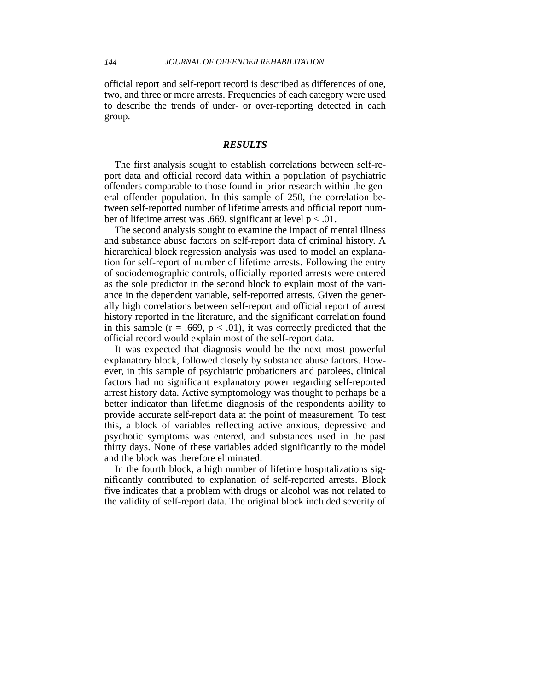official report and self-report record is described as differences of one, two, and three or more arrests. Frequencies of each category were used to describe the trends of under- or over-reporting detected in each group.

#### *RESULTS*

The first analysis sought to establish correlations between self-report data and official record data within a population of psychiatric offenders comparable to those found in prior research within the general offender population. In this sample of 250, the correlation between self-reported number of lifetime arrests and official report number of lifetime arrest was .669, significant at level  $p < .01$ .

The second analysis sought to examine the impact of mental illness and substance abuse factors on self-report data of criminal history. A hierarchical block regression analysis was used to model an explanation for self-report of number of lifetime arrests. Following the entry of sociodemographic controls, officially reported arrests were entered as the sole predictor in the second block to explain most of the variance in the dependent variable, self-reported arrests. Given the generally high correlations between self-report and official report of arrest history reported in the literature, and the significant correlation found in this sample  $(r = .669, p < .01)$ , it was correctly predicted that the official record would explain most of the self-report data.

It was expected that diagnosis would be the next most powerful explanatory block, followed closely by substance abuse factors. However, in this sample of psychiatric probationers and parolees, clinical factors had no significant explanatory power regarding self-reported arrest history data. Active symptomology was thought to perhaps be a better indicator than lifetime diagnosis of the respondents ability to provide accurate self-report data at the point of measurement. To test this, a block of variables reflecting active anxious, depressive and psychotic symptoms was entered, and substances used in the past thirty days. None of these variables added significantly to the model and the block was therefore eliminated.

In the fourth block, a high number of lifetime hospitalizations significantly contributed to explanation of self-reported arrests. Block five indicates that a problem with drugs or alcohol was not related to the validity of self-report data. The original block included severity of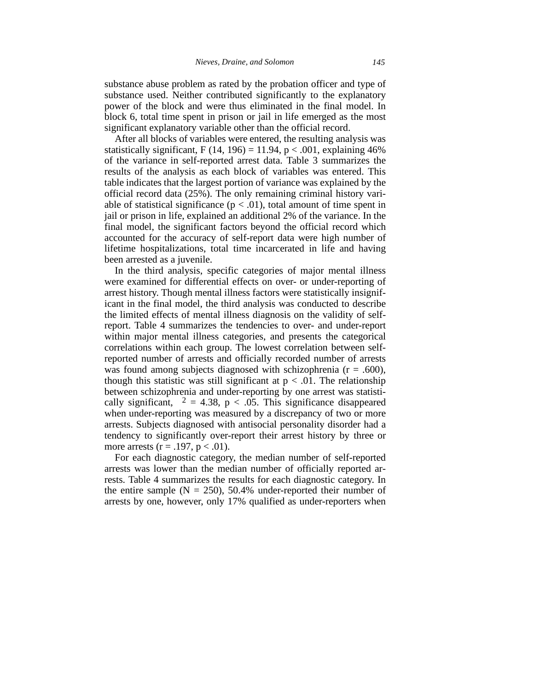substance abuse problem as rated by the probation officer and type of substance used. Neither contributed significantly to the explanatory power of the block and were thus eliminated in the final model. In block 6, total time spent in prison or jail in life emerged as the most significant explanatory variable other than the official record.

After all blocks of variables were entered, the resulting analysis was statistically significant, F (14, 196) = 11.94,  $p < .001$ , explaining 46% of the variance in self-reported arrest data. Table 3 summarizes the results of the analysis as each block of variables was entered. This table indicates that the largest portion of variance was explained by the official record data (25%). The only remaining criminal history variable of statistical significance ( $p < .01$ ), total amount of time spent in jail or prison in life, explained an additional 2% of the variance. In the final model, the significant factors beyond the official record which accounted for the accuracy of self-report data were high number of lifetime hospitalizations, total time incarcerated in life and having been arrested as a juvenile.

In the third analysis, specific categories of major mental illness were examined for differential effects on over- or under-reporting of arrest history. Though mental illness factors were statistically insignificant in the final model, the third analysis was conducted to describe the limited effects of mental illness diagnosis on the validity of selfreport. Table 4 summarizes the tendencies to over- and under-report within major mental illness categories, and presents the categorical correlations within each group. The lowest correlation between selfreported number of arrests and officially recorded number of arrests was found among subjects diagnosed with schizophrenia  $(r = .600)$ , though this statistic was still significant at  $p < .01$ . The relationship between schizophrenia and under-reporting by one arrest was statistically significant,  $2 = 4.38$ , p < .05. This significance disappeared when under-reporting was measured by a discrepancy of two or more arrests. Subjects diagnosed with antisocial personality disorder had a tendency to significantly over-report their arrest history by three or more arrests ( $r = .197$ ,  $p < .01$ ).

For each diagnostic category, the median number of self-reported arrests was lower than the median number of officially reported arrests. Table 4 summarizes the results for each diagnostic category. In the entire sample  $(N = 250)$ , 50.4% under-reported their number of arrests by one, however, only 17% qualified as under-reporters when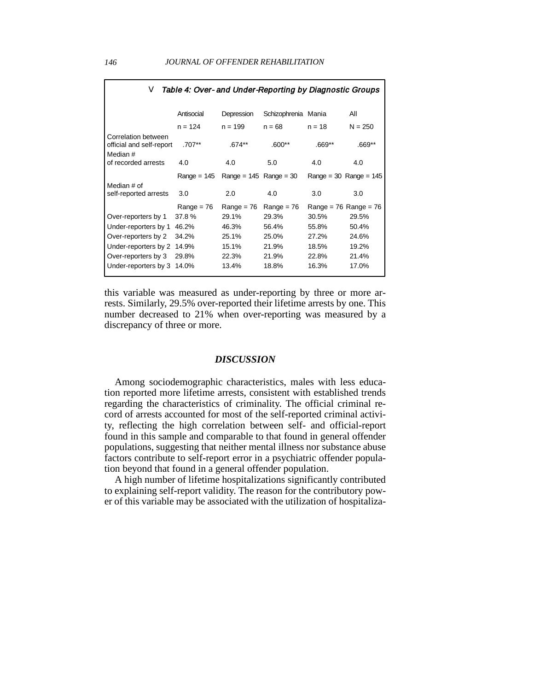| Table 4: Over- and Under-Reporting by Diagnostic Groups<br>v |               |                            |                     |          |                            |  |
|--------------------------------------------------------------|---------------|----------------------------|---------------------|----------|----------------------------|--|
|                                                              | Antisocial    | Depression                 | Schizophrenia Mania |          | All                        |  |
|                                                              | $n = 124$     | $n = 199$                  | $n = 68$            | $n = 18$ | $N = 250$                  |  |
| Correlation between<br>official and self-report<br>Median #  | $.707**$      | $.674**$                   | $.600**$            | $.669**$ | .669**                     |  |
| of recorded arrests                                          | 4.0           | 4.0                        | 5.0                 | 4.0      | 4.0                        |  |
|                                                              | $Range = 145$ | Range = $145$ Range = $30$ |                     |          | Range = $30$ Range = $145$ |  |
| Median # of                                                  |               |                            |                     |          |                            |  |
| self-reported arrests                                        | 3.0           | 2.0                        | 4.0                 | 3.0      | 3.0                        |  |
|                                                              | $Range = 76$  | $Range = 76$               | $Range = 76$        |          | Range = $76$ Range = $76$  |  |
| Over-reporters by 1                                          | 37.8%         | 29.1%                      | 29.3%               | 30.5%    | 29.5%                      |  |
| Under-reporters by 1                                         | 46.2%         | 46.3%                      | 56.4%               | 55.8%    | 50.4%                      |  |
| Over-reporters by 2                                          | 34.2%         | 25.1%                      | 25.0%               | 27.2%    | 24.6%                      |  |
| Under-reporters by 2                                         | 14.9%         | 15.1%                      | 21.9%               | 18.5%    | 19.2%                      |  |
| Over-reporters by 3                                          | 29.8%         | 22.3%                      | 21.9%               | 22.8%    | 21.4%                      |  |
| Under-reporters by 3                                         | 14.0%         | 13.4%                      | 18.8%               | 16.3%    | 17.0%                      |  |

this variable was measured as under-reporting by three or more arrests. Similarly, 29.5% over-reported their lifetime arrests by one. This number decreased to 21% when over-reporting was measured by a discrepancy of three or more.

#### *DISCUSSION*

Among sociodemographic characteristics, males with less education reported more lifetime arrests, consistent with established trends regarding the characteristics of criminality. The official criminal record of arrests accounted for most of the self-reported criminal activity, reflecting the high correlation between self- and official-report found in this sample and comparable to that found in general offender populations, suggesting that neither mental illness nor substance abuse factors contribute to self-report error in a psychiatric offender population beyond that found in a general offender population.

A high number of lifetime hospitalizations significantly contributed to explaining self-report validity. The reason for the contributory power of this variable may be associated with the utilization of hospitaliza-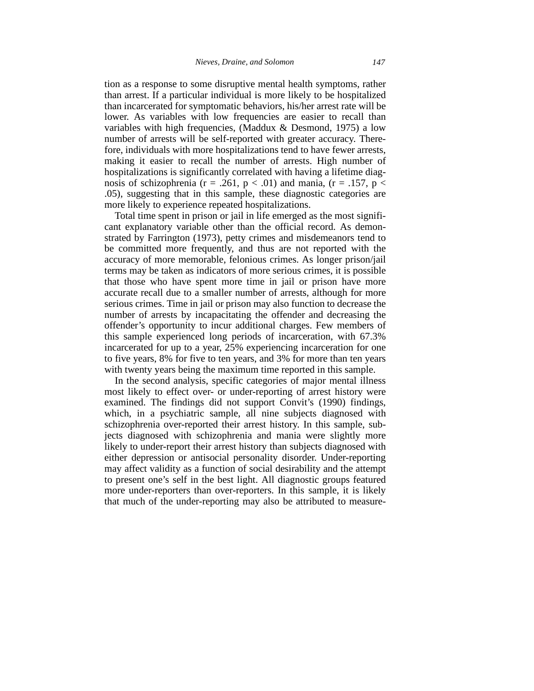tion as a response to some disruptive mental health symptoms, rather than arrest. If a particular individual is more likely to be hospitalized than incarcerated for symptomatic behaviors, his/her arrest rate will be lower. As variables with low frequencies are easier to recall than variables with high frequencies, (Maddux & Desmond, 1975) a low number of arrests will be self-reported with greater accuracy. Therefore, individuals with more hospitalizations tend to have fewer arrests, making it easier to recall the number of arrests. High number of hospitalizations is significantly correlated with having a lifetime diagnosis of schizophrenia (r = .261, p < .01) and mania, (r = .157, p < .05), suggesting that in this sample, these diagnostic categories are more likely to experience repeated hospitalizations.

Total time spent in prison or jail in life emerged as the most significant explanatory variable other than the official record. As demonstrated by Farrington (1973), petty crimes and misdemeanors tend to be committed more frequently, and thus are not reported with the accuracy of more memorable, felonious crimes. As longer prison/jail terms may be taken as indicators of more serious crimes, it is possible that those who have spent more time in jail or prison have more accurate recall due to a smaller number of arrests, although for more serious crimes. Time in jail or prison may also function to decrease the number of arrests by incapacitating the offender and decreasing the offender's opportunity to incur additional charges. Few members of this sample experienced long periods of incarceration, with 67.3% incarcerated for up to a year, 25% experiencing incarceration for one to five years, 8% for five to ten years, and 3% for more than ten years with twenty years being the maximum time reported in this sample.

In the second analysis, specific categories of major mental illness most likely to effect over- or under-reporting of arrest history were examined. The findings did not support Convit's (1990) findings, which, in a psychiatric sample, all nine subjects diagnosed with schizophrenia over-reported their arrest history. In this sample, subjects diagnosed with schizophrenia and mania were slightly more likely to under-report their arrest history than subjects diagnosed with either depression or antisocial personality disorder. Under-reporting may affect validity as a function of social desirability and the attempt to present one's self in the best light. All diagnostic groups featured more under-reporters than over-reporters. In this sample, it is likely that much of the under-reporting may also be attributed to measure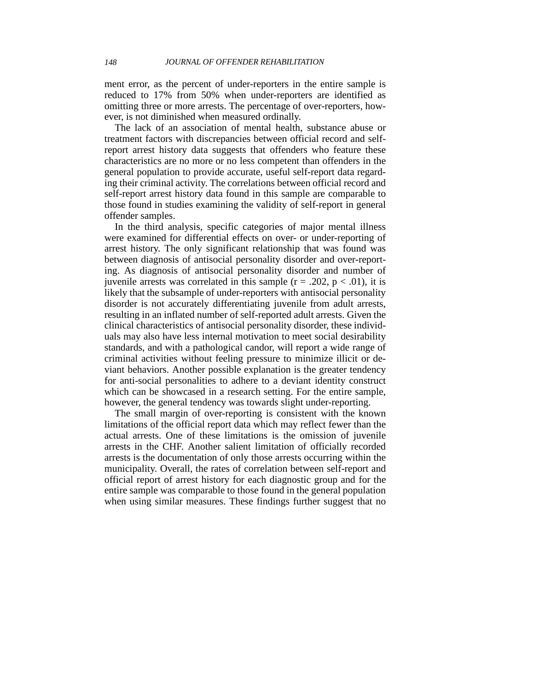ment error, as the percent of under-reporters in the entire sample is reduced to 17% from 50% when under-reporters are identified as omitting three or more arrests. The percentage of over-reporters, however, is not diminished when measured ordinally.

The lack of an association of mental health, substance abuse or treatment factors with discrepancies between official record and selfreport arrest history data suggests that offenders who feature these characteristics are no more or no less competent than offenders in the general population to provide accurate, useful self-report data regarding their criminal activity. The correlations between official record and self-report arrest history data found in this sample are comparable to those found in studies examining the validity of self-report in general offender samples.

In the third analysis, specific categories of major mental illness were examined for differential effects on over- or under-reporting of arrest history. The only significant relationship that was found was between diagnosis of antisocial personality disorder and over-reporting. As diagnosis of antisocial personality disorder and number of juvenile arrests was correlated in this sample  $(r = .202, p < .01)$ , it is likely that the subsample of under-reporters with antisocial personality disorder is not accurately differentiating juvenile from adult arrests, resulting in an inflated number of self-reported adult arrests. Given the clinical characteristics of antisocial personality disorder, these individuals may also have less internal motivation to meet social desirability standards, and with a pathological candor, will report a wide range of criminal activities without feeling pressure to minimize illicit or deviant behaviors. Another possible explanation is the greater tendency for anti-social personalities to adhere to a deviant identity construct which can be showcased in a research setting. For the entire sample, however, the general tendency was towards slight under-reporting.

The small margin of over-reporting is consistent with the known limitations of the official report data which may reflect fewer than the actual arrests. One of these limitations is the omission of juvenile arrests in the CHF. Another salient limitation of officially recorded arrests is the documentation of only those arrests occurring within the municipality. Overall, the rates of correlation between self-report and official report of arrest history for each diagnostic group and for the entire sample was comparable to those found in the general population when using similar measures. These findings further suggest that no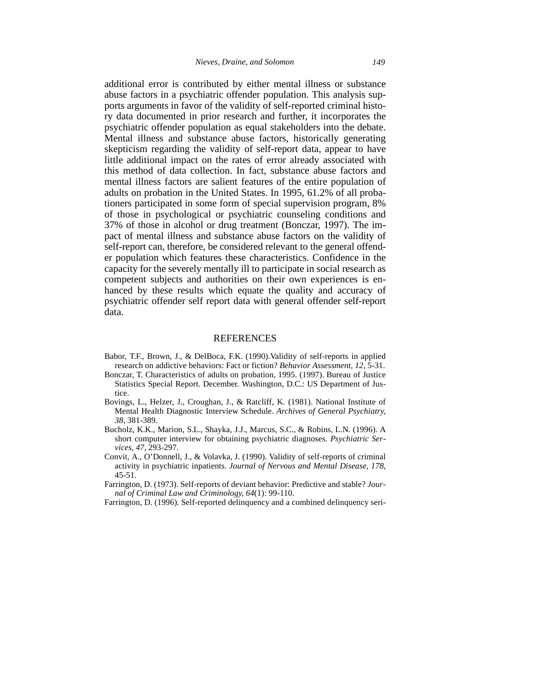additional error is contributed by either mental illness or substance abuse factors in a psychiatric offender population. This analysis supports arguments in favor of the validity of self-reported criminal history data documented in prior research and further, it incorporates the psychiatric offender population as equal stakeholders into the debate. Mental illness and substance abuse factors, historically generating skepticism regarding the validity of self-report data, appear to have little additional impact on the rates of error already associated with this method of data collection. In fact, substance abuse factors and mental illness factors are salient features of the entire population of adults on probation in the United States. In 1995, 61.2% of all probationers participated in some form of special supervision program, 8% of those in psychological or psychiatric counseling conditions and 37% of those in alcohol or drug treatment (Bonczar, 1997). The impact of mental illness and substance abuse factors on the validity of self-report can, therefore, be considered relevant to the general offender population which features these characteristics. Confidence in the capacity for the severely mentally ill to participate in social research as competent subjects and authorities on their own experiences is enhanced by these results which equate the quality and accuracy of psychiatric offender self report data with general offender self-report data.

#### **REFERENCES**

- Babor, T.F., Brown, J., & DelBoca, F.K. (1990).Validity of self-reports in applied research on addictive behaviors: Fact or fiction? *Behavior Assessment*, *12*, 5-31.
- Bonczar, T. Characteristics of adults on probation, 1995. (1997). Bureau of Justice Statistics Special Report. December. Washington, D.C.: US Department of Justice.
- Bovings, L., Helzer, J., Croughan, J., & Ratcliff, K. (1981). National Institute of Mental Health Diagnostic Interview Schedule. *Archives of General Psychiatry*, *38*, 381-389.
- Bucholz, K.K., Marion, S.L., Shayka, J.J., Marcus, S.C., & Robins, L.N. (1996). A short computer interview for obtaining psychiatric diagnoses. *Psychiatric Services*, *47*, 293-297.
- Convit, A., O'Donnell, J., & Volavka, J. (1990). Validity of self-reports of criminal activity in psychiatric inpatients. *Journal of Nervous and Mental Disease*, *178*, 45-51.

Farrington, D. (1973). Self-reports of deviant behavior: Predictive and stable? *Journal of Criminal Law and Criminology*, *64*(1): 99-110.

Farrington, D. (1996). Self-reported delinquency and a combined delinquency seri-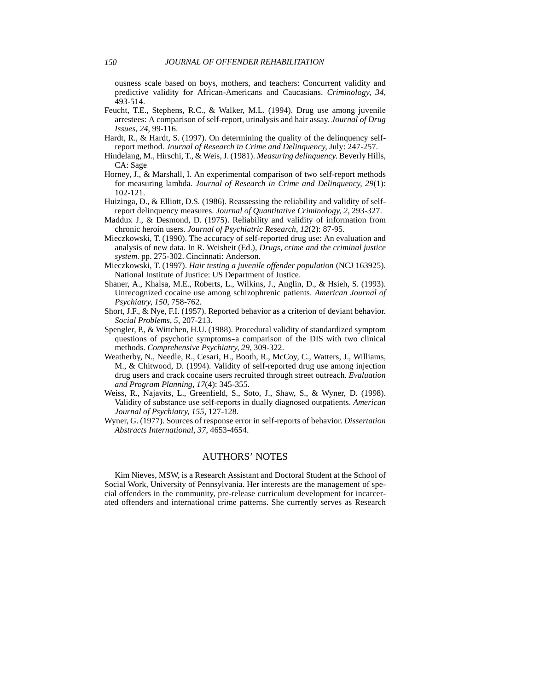ousness scale based on boys, mothers, and teachers: Concurrent validity and predictive validity for African-Americans and Caucasians. *Criminology*, *34*, 493-514.

- Feucht, T.E., Stephens, R.C., & Walker, M.L. (1994). Drug use among juvenile arrestees: A comparison of self-report, urinalysis and hair assay. *Journal of Drug Issues*, *24*, 99-116.
- Hardt, R., & Hardt, S. (1997). On determining the quality of the delinquency selfreport method. *Journal of Research in Crime and Delinquency*, July: 247-257.
- Hindelang, M., Hirschi, T., & Weis, J. (1981). *Measuring delinquency*. Beverly Hills, CA: Sage
- Horney, J., & Marshall, I. An experimental comparison of two self-report methods for measuring lambda. *Journal of Research in Crime and Delinquency*, *29*(1): 102-121.
- Huizinga, D., & Elliott, D.S. (1986). Reassessing the reliability and validity of selfreport delinquency measures. *Journal of Quantitative Criminology*, *2*, 293-327.
- Maddux J., & Desmond, D. (1975). Reliability and validity of information from chronic heroin users. *Journal of Psychiatric Research*, *12*(2): 87-95.
- Mieczkowski, T. (1990). The accuracy of self-reported drug use: An evaluation and analysis of new data. In R. Weisheit (Ed.), *Drugs, crime and the criminal justice system*. pp. 275-302. Cincinnati: Anderson.
- Mieczkowski, T. (1997). *Hair testing a juvenile offender population* (NCJ 163925). National Institute of Justice: US Department of Justice.
- Shaner, A., Khalsa, M.E., Roberts, L., Wilkins, J., Anglin, D., & Hsieh, S. (1993). Unrecognized cocaine use among schizophrenic patients. *American Journal of Psychiatry*, *150*, 758-762.
- Short, J.F., & Nye, F.I. (1957). Reported behavior as a criterion of deviant behavior. *Social Problems*, *5*, 207-213.
- Spengler, P., & Wittchen, H.U. (1988). Procedural validity of standardized symptom questions of psychotic symptoms--a comparison of the DIS with two clinical methods. *Comprehensive Psychiatry*, *29*, 309-322.
- Weatherby, N., Needle, R., Cesari, H., Booth, R., McCoy, C., Watters, J., Williams, M., & Chitwood, D. (1994). Validity of self-reported drug use among injection drug users and crack cocaine users recruited through street outreach. *Evaluation and Program Planning*, *17*(4): 345-355.
- Weiss, R., Najavits, L., Greenfield, S., Soto, J., Shaw, S., & Wyner, D. (1998). Validity of substance use self-reports in dually diagnosed outpatients. *American Journal of Psychiatry*, *155*, 127-128.
- Wyner, G. (1977). Sources of response error in self-reports of behavior. *Dissertation Abstracts International*, *37*, 4653-4654.

#### AUTHORS' NOTES

Kim Nieves, MSW, is a Research Assistant and Doctoral Student at the School of Social Work, University of Pennsylvania. Her interests are the management of special offenders in the community, pre-release curriculum development for incarcerated offenders and international crime patterns. She currently serves as Research